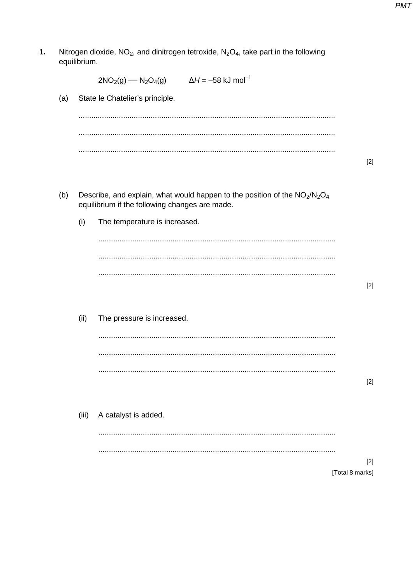$\mathbf{1}$ . Nitrogen dioxide, NO<sub>2</sub>, and dinitrogen tetroxide, N<sub>2</sub>O<sub>4</sub>, take part in the following equilibrium.  $2NO_2(g)$  -  $N_2O_4(g)$   $\Delta H = -58$  kJ mol<sup>-1</sup> State le Chatelier's principle.  $(a)$  $[2]$ Describe, and explain, what would happen to the position of the  $NO<sub>2</sub>/N<sub>2</sub>O<sub>4</sub>$  $(b)$ equilibrium if the following changes are made. The temperature is increased.  $(i)$  $[2]$  $(ii)$ The pressure is increased.  $[2]$  $(iii)$ A catalyst is added.  $[2]$ [Total 8 marks]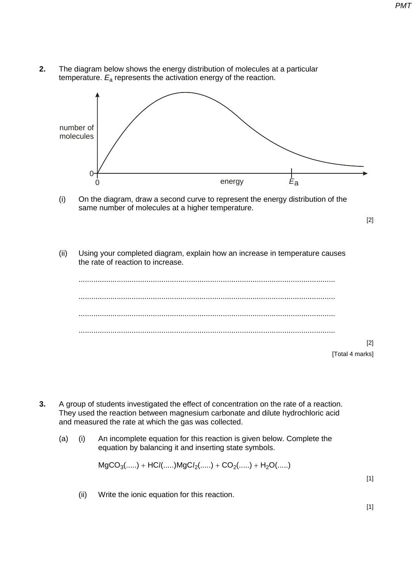**2.** The diagram below shows the energy distribution of molecules at a particular temperature. *E*<sup>a</sup> represents the activation energy of the reaction.



(i) On the diagram, draw a second curve to represent the energy distribution of the same number of molecules at a higher temperature.

[2]

(ii) Using your completed diagram, explain how an increase in temperature causes the rate of reaction to increase.



- **3.** A group of students investigated the effect of concentration on the rate of a reaction. They used the reaction between magnesium carbonate and dilute hydrochloric acid and measured the rate at which the gas was collected.
	- (a) (i) An incomplete equation for this reaction is given below. Complete the equation by balancing it and inserting state symbols.

MgCO<sub>3</sub>(.....) + HC*l*(.....)MgC*l*<sub>2</sub>(.....) + CO<sub>2</sub>(.....) + H<sub>2</sub>O(.....)

 $[1]$ 

(ii) Write the ionic equation for this reaction.

[1]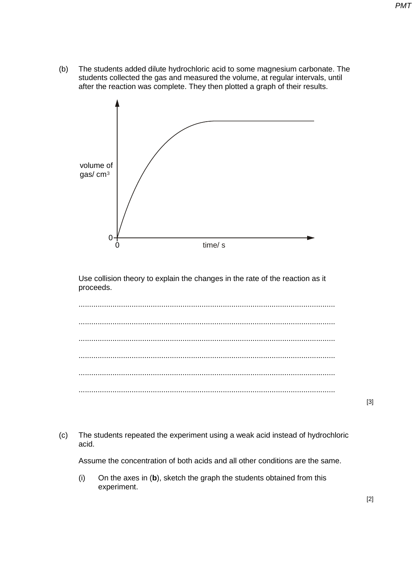(b) The students added dilute hydrochloric acid to some magnesium carbonate. The students collected the gas and measured the volume, at regular intervals, until after the reaction was complete. They then plotted a graph of their results.



Use collision theory to explain the changes in the rate of the reaction as it proceeds.

......................................................................................................................... ......................................................................................................................... ......................................................................................................................... ......................................................................................................................... ......................................................................................................................... .........................................................................................................................

[3]

(c) The students repeated the experiment using a weak acid instead of hydrochloric acid.

Assume the concentration of both acids and all other conditions are the same.

(i) On the axes in (**b**), sketch the graph the students obtained from this experiment.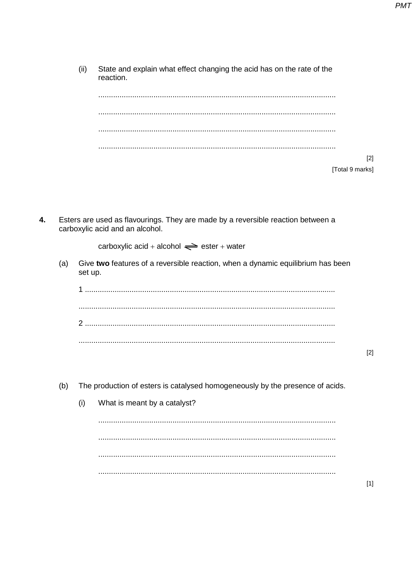$[2]$ [Total 9 marks]

 $\overline{4}$ . Esters are used as flavourings. They are made by a reversible reaction between a carboxylic acid and an alcohol.

carboxylic acid + alcohol  $\implies$  ester + water

Give two features of a reversible reaction, when a dynamic equilibrium has been  $(a)$ set up.

- The production of esters is catalysed homogeneously by the presence of acids.  $(b)$ 
	- What is meant by a catalyst?  $(i)$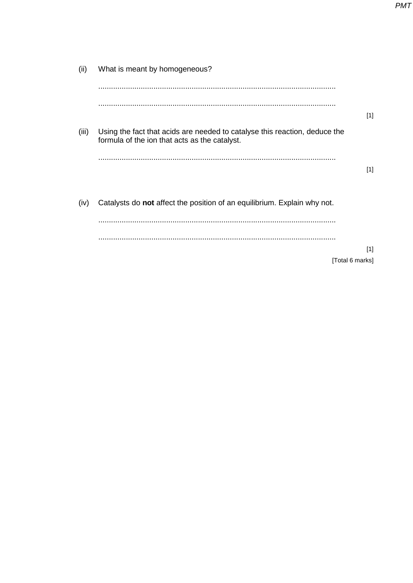| (ii)  | What is meant by homogeneous?                                                                                               |                 |
|-------|-----------------------------------------------------------------------------------------------------------------------------|-----------------|
|       |                                                                                                                             |                 |
|       |                                                                                                                             | $[1]$           |
| (iii) | Using the fact that acids are needed to catalyse this reaction, deduce the<br>formula of the ion that acts as the catalyst. |                 |
|       |                                                                                                                             | $[1]$           |
| (iv)  | Catalysts do not affect the position of an equilibrium. Explain why not.                                                    |                 |
|       |                                                                                                                             |                 |
|       |                                                                                                                             | $[1]$           |
|       |                                                                                                                             | [Total 6 marks] |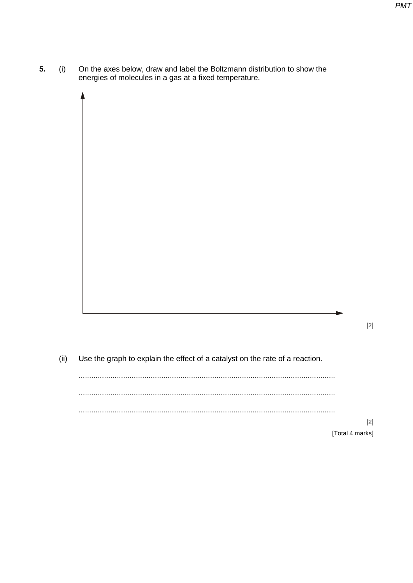**5.** (i) On the axes below, draw and label the Boltzmann distribution to show the energies of molecules in a gas at a fixed temperature.

(ii) Use the graph to explain the effect of a catalyst on the rate of a reaction.

......................................................................................................................... ......................................................................................................................... .........................................................................................................................

> [2] [Total 4 marks]

[2]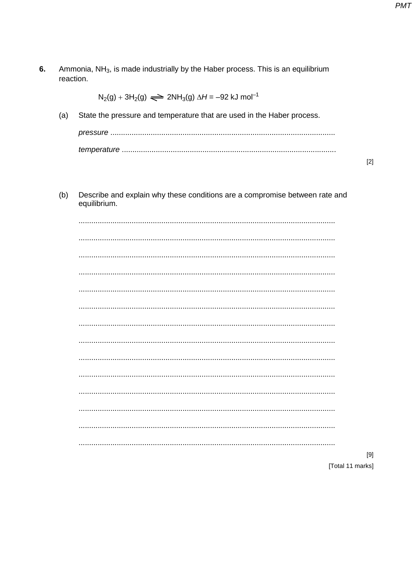| Ammonia, NH <sub>3</sub> , is made industrially by the Haber process. This is an equilibrium |  |
|----------------------------------------------------------------------------------------------|--|

**PMT** 

| reaction. | $N_2(g) + 3H_2(g) \implies 2NH_3(g) \Delta H = -92$ kJ mol <sup>-1</sup>                    |       |
|-----------|---------------------------------------------------------------------------------------------|-------|
|           |                                                                                             |       |
| (a)       | State the pressure and temperature that are used in the Haber process.                      |       |
|           |                                                                                             |       |
|           |                                                                                             |       |
|           |                                                                                             | $[2]$ |
|           |                                                                                             |       |
| (b)       | Describe and explain why these conditions are a compromise between rate and<br>equilibrium. |       |
|           |                                                                                             |       |
|           |                                                                                             |       |
|           |                                                                                             |       |
|           |                                                                                             |       |
|           |                                                                                             |       |
|           |                                                                                             |       |
|           |                                                                                             |       |
|           |                                                                                             |       |
|           |                                                                                             |       |
|           |                                                                                             |       |
|           |                                                                                             |       |
|           |                                                                                             |       |
|           |                                                                                             |       |
|           |                                                                                             |       |
|           |                                                                                             | $[9]$ |
|           | [Total 11 marks]                                                                            |       |

6.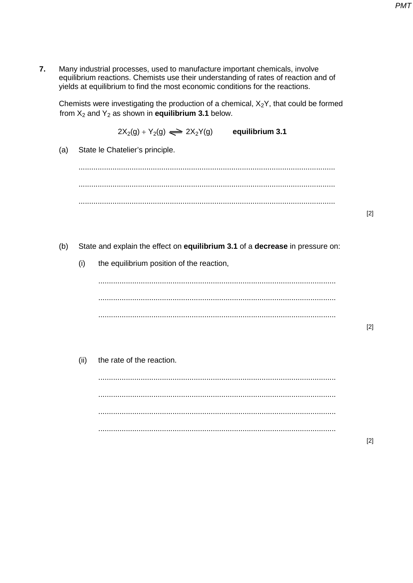$\overline{7}$ . Many industrial processes, used to manufacture important chemicals, involve equilibrium reactions. Chemists use their understanding of rates of reaction and of yields at equilibrium to find the most economic conditions for the reactions.

Chemists were investigating the production of a chemical,  $X_2Y$ , that could be formed from  $X_2$  and  $Y_2$  as shown in **equilibrium 3.1** below.

> $2X_2(g) + Y_2(g) \implies 2X_2Y(g)$ equilibrium 3.1

- $(a)$ State le Chatelier's principle.  $[2]$  $(b)$ State and explain the effect on equilibrium 3.1 of a decrease in pressure on:  $(i)$ the equilibrium position of the reaction,  $[2]$ 
	- the rate of the reaction.  $(ii)$

 $[2]$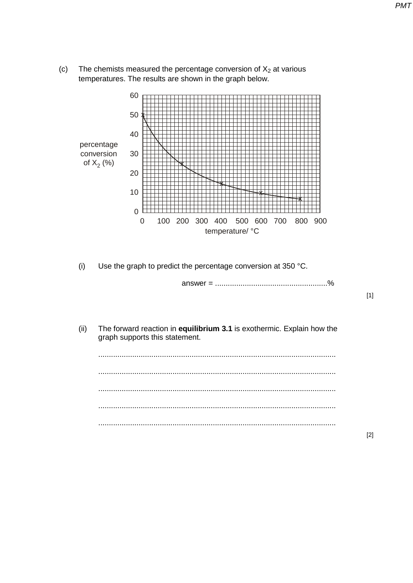(c) The chemists measured the percentage conversion of  $X_2$  at various temperatures. The results are shown in the graph below.



(i) Use the graph to predict the percentage conversion at 350 °C.

answer = .....................................................%

[1]

[2]

(ii) The forward reaction in **equilibrium 3.1** is exothermic. Explain how the graph supports this statement.

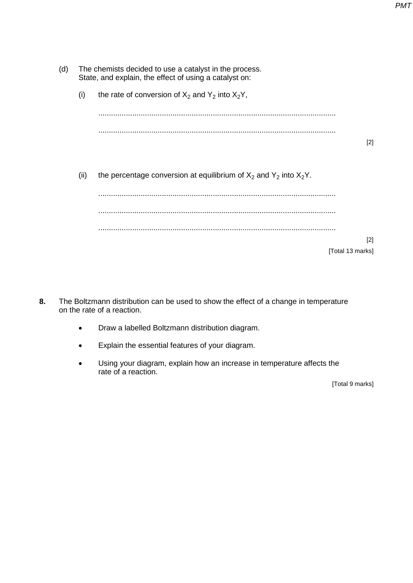- (d) The chemists decided to use a catalyst in the process. State, and explain, the effect of using a catalyst on: (i) the rate of conversion of  $X_2$  and  $Y_2$  into  $X_2Y$ , ................................................................................................................ ................................................................................................................ [2] (ii) the percentage conversion at equilibrium of  $X_2$  and  $Y_2$  into  $X_2Y$ . ................................................................................................................ ................................................................................................................ ................................................................................................................ [2] [Total 13 marks]
- **8.** The Boltzmann distribution can be used to show the effect of a change in temperature on the rate of a reaction.
	- Draw a labelled Boltzmann distribution diagram.
	- Explain the essential features of your diagram.
	- Using your diagram, explain how an increase in temperature affects the rate of a reaction.

[Total 9 marks]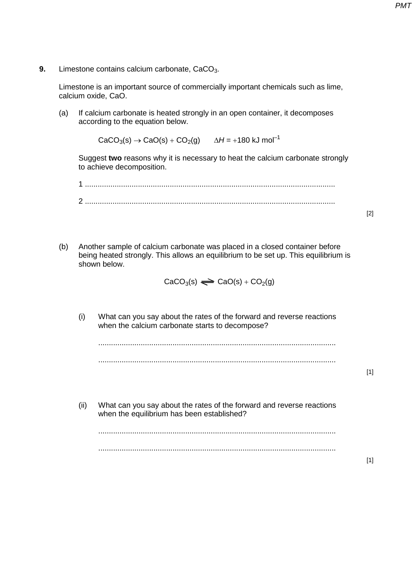Limestone is an important source of commercially important chemicals such as lime, calcium oxide, CaO.

(a) If calcium carbonate is heated strongly in an open container, it decomposes according to the equation below.

 $CaCO<sub>3</sub>(s) \rightarrow CaO(s) + CO<sub>2</sub>(g)$   $\Delta H = +180$  kJ mol<sup>-1</sup>

Suggest **two** reasons why it is necessary to heat the calcium carbonate strongly to achieve decomposition.

1 ...................................................................................................................... 2 ......................................................................................................................

(b) Another sample of calcium carbonate was placed in a closed container before being heated strongly. This allows an equilibrium to be set up. This equilibrium is shown below.

$$
\text{CaCO}_3(s) \Longleftrightarrow \text{CaO}(s) + \text{CO}_2(g)
$$

(i) What can you say about the rates of the forward and reverse reactions when the calcium carbonate starts to decompose?

................................................................................................................ ................................................................................................................

[1]

[1]

[2]

(ii) What can you say about the rates of the forward and reverse reactions when the equilibrium has been established? ................................................................................................................

................................................................................................................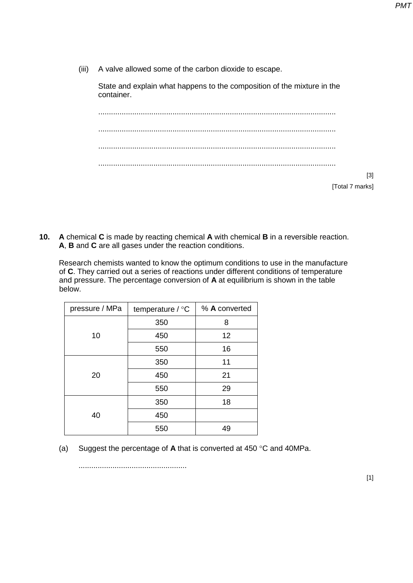(iii) A valve allowed some of the carbon dioxide to escape.

State and explain what happens to the composition of the mixture in the container.

| [3]             |
|-----------------|
| [Total 7 marks] |

**10. A** chemical **C** is made by reacting chemical **A** with chemical **B** in a reversible reaction. **A**, **B** and **C** are all gases under the reaction conditions.

Research chemists wanted to know the optimum conditions to use in the manufacture of **C**. They carried out a series of reactions under different conditions of temperature and pressure. The percentage conversion of **A** at equilibrium is shown in the table below.

| pressure / MPa | temperature / °C | % A converted |
|----------------|------------------|---------------|
|                | 350              | 8             |
| 10             | 450              | 12            |
|                | 550              | 16            |
|                | 350              | 11            |
| 20             | 450              | 21            |
|                | 550              | 29            |
|                | 350              | 18            |
| 40             | 450              |               |
|                | 550              | 49            |

(a) Suggest the percentage of **A** that is converted at 450 °C and 40MPa.

...................................................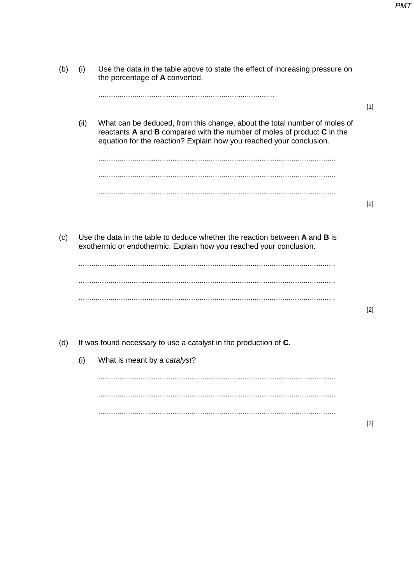| (b) | (i)  | Use the data in the table above to state the effect of increasing pressure on<br>the percentage of A converted.                                                                                                             |       |
|-----|------|-----------------------------------------------------------------------------------------------------------------------------------------------------------------------------------------------------------------------------|-------|
|     |      |                                                                                                                                                                                                                             | $[1]$ |
|     | (ii) | What can be deduced, from this change, about the total number of moles of<br>reactants A and B compared with the number of moles of product C in the<br>equation for the reaction? Explain how you reached your conclusion. |       |
|     |      |                                                                                                                                                                                                                             |       |
|     |      |                                                                                                                                                                                                                             |       |
|     |      |                                                                                                                                                                                                                             |       |
|     |      |                                                                                                                                                                                                                             | $[2]$ |
| (c) |      | Use the data in the table to deduce whether the reaction between A and B is<br>exothermic or endothermic. Explain how you reached your conclusion.                                                                          |       |
|     |      |                                                                                                                                                                                                                             |       |
|     |      |                                                                                                                                                                                                                             |       |
|     |      |                                                                                                                                                                                                                             | $[2]$ |
|     |      |                                                                                                                                                                                                                             |       |
| (d) |      | It was found necessary to use a catalyst in the production of C.                                                                                                                                                            |       |
|     | (i)  | What is meant by a catalyst?                                                                                                                                                                                                |       |
|     |      |                                                                                                                                                                                                                             |       |
|     |      |                                                                                                                                                                                                                             |       |
|     |      |                                                                                                                                                                                                                             |       |
|     |      |                                                                                                                                                                                                                             | $[2]$ |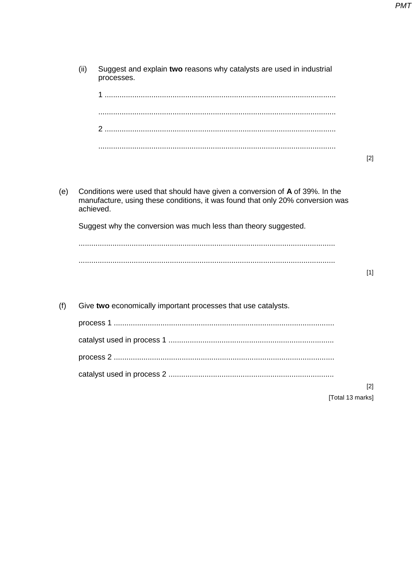|     | (ii)      | Suggest and explain two reasons why catalysts are used in industrial<br>processes.                                                                             |       |
|-----|-----------|----------------------------------------------------------------------------------------------------------------------------------------------------------------|-------|
|     |           |                                                                                                                                                                |       |
|     |           |                                                                                                                                                                |       |
|     |           |                                                                                                                                                                |       |
|     |           |                                                                                                                                                                |       |
|     |           |                                                                                                                                                                | [2]   |
|     |           |                                                                                                                                                                |       |
| (e) | achieved. | Conditions were used that should have given a conversion of A of 39%. In the<br>manufacture, using these conditions, it was found that only 20% conversion was |       |
|     |           | Suggest why the conversion was much less than theory suggested.                                                                                                |       |
|     |           |                                                                                                                                                                |       |
|     |           |                                                                                                                                                                |       |
|     |           |                                                                                                                                                                | $[1]$ |
|     |           |                                                                                                                                                                |       |
| (f) |           | Give two economically important processes that use catalysts.                                                                                                  |       |
|     |           |                                                                                                                                                                |       |
|     |           |                                                                                                                                                                |       |
|     |           |                                                                                                                                                                |       |
|     |           |                                                                                                                                                                |       |

 $[2]$ [Total 13 marks]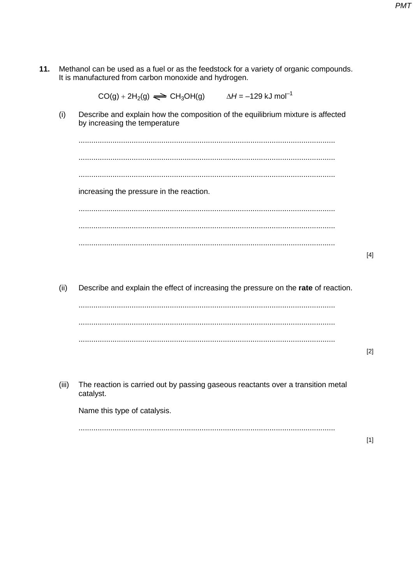$11.$ Methanol can be used as a fuel or as the feedstock for a variety of organic compounds. It is manufactured from carbon monoxide and hydrogen.

 $CO(g) + 2H_2(g) \implies CH_3OH(g)$   $\Delta H = -129 \text{ kJ mol}^{-1}$ Describe and explain how the composition of the equilibrium mixture is affected  $(i)$ by increasing the temperature increasing the pressure in the reaction.  $[4]$  $(ii)$ Describe and explain the effect of increasing the pressure on the rate of reaction.  $[2]$  $(iii)$ The reaction is carried out by passing gaseous reactants over a transition metal catalyst. Name this type of catalysis. 

**PMT** 

 $[1]$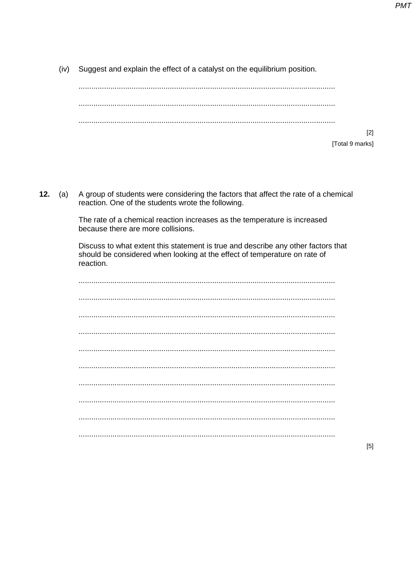(iv) Suggest and explain the effect of a catalyst on the equilibrium position.

> $[2]$ [Total 9 marks]

> > $[5]$

A group of students were considering the factors that affect the rate of a chemical **12.** (a) reaction. One of the students wrote the following.

> The rate of a chemical reaction increases as the temperature is increased because there are more collisions.

Discuss to what extent this statement is true and describe any other factors that should be considered when looking at the effect of temperature on rate of reaction.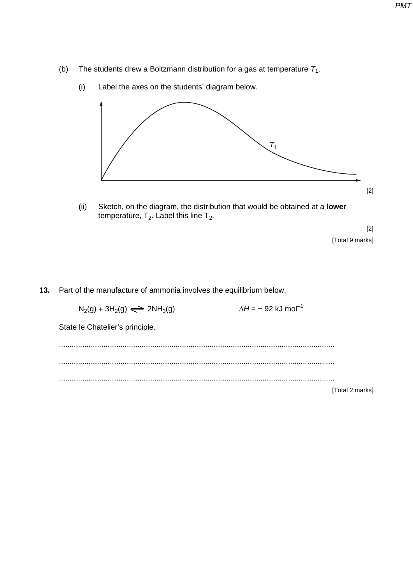(b) The students drew a Boltzmann distribution for a gas at temperature  $T_1$ .

(i) Label the axes on the students' diagram below.

- *T*1 [2]
- (ii) Sketch, on the diagram, the distribution that would be obtained at a **lower** temperature,  $T_2$ . Label this line  $T_2$ .

[2] [Total 9 marks]

**13.** Part of the manufacture of ammonia involves the equilibrium below.

 $N_2(g) + 3H_2(g) \implies 2NH_3(g)$   $\Delta H = -92$  kJ mol<sup>-1</sup>

State le Chatelier's principle.

.................................................................................................................................. .................................................................................................................................. ..................................................................................................................................

[Total 2 marks]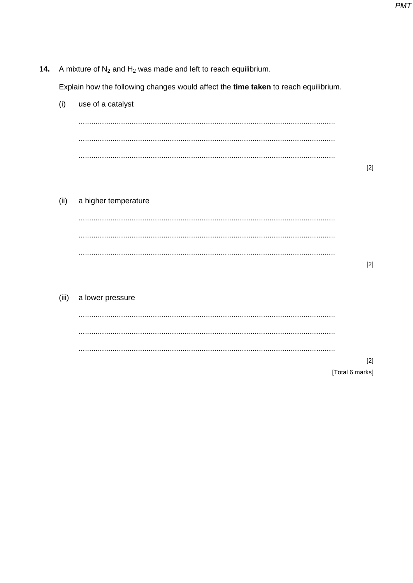A mixture of  $N_2$  and  $H_2$  was made and left to reach equilibrium.  $14.$ 

Explain how the following changes would affect the time taken to reach equilibrium.



[Total 6 marks]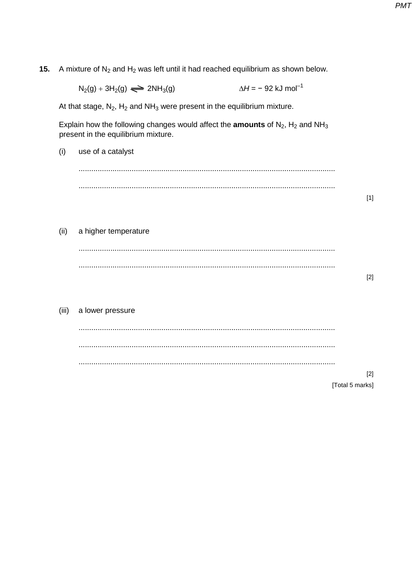A mixture of  $N_2$  and  $H_2$  was left until it had reached equilibrium as shown below.  $15.$ 

> $N_2(g) + 3H_2(g) \implies 2NH_3(g)$  $\Delta H$  = - 92 kJ mol<sup>-1</sup>

At that stage,  $N_2$ ,  $H_2$  and  $NH_3$  were present in the equilibrium mixture.

Explain how the following changes would affect the **amounts** of  $N_2$ ,  $H_2$  and  $NH_3$ present in the equilibrium mixture.

- $(i)$ use of a catalyst
- $(ii)$ a higher temperature

 $(iii)$ a lower pressure

 $[2]$ [Total 5 marks]

 $[1]$ 

 $[2]$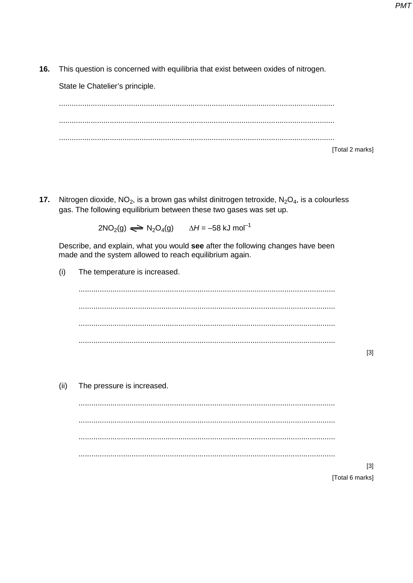16. This question is concerned with equilibria that exist between oxides of nitrogen.

State le Chatelier's principle.

[Total 2 marks]

 $17.$ Nitrogen dioxide,  $NO_2$ , is a brown gas whilst dinitrogen tetroxide,  $N_2O_4$ , is a colourless gas. The following equilibrium between these two gases was set up.

 $2NO_2(g) \implies N_2O_4(g)$   $\Delta H = -58 \text{ kJ mol}^{-1}$ 

Describe, and explain, what you would see after the following changes have been made and the system allowed to reach equilibrium again.

 $(i)$ The temperature is increased.

 $[3]$ 

 $[3]$ 

 $(ii)$ The pressure is increased.

> [Total 6 marks]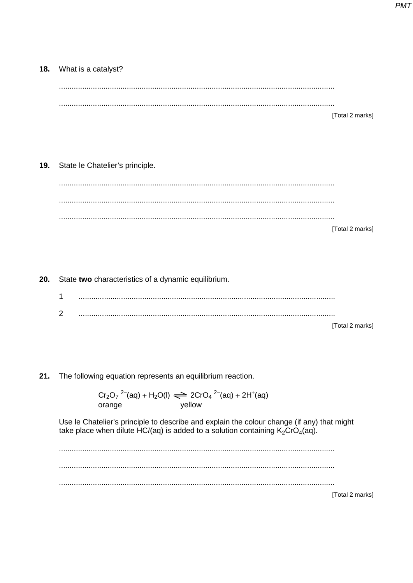**PMT** 

## 18. What is a catalyst?

[Total 2 marks]

 $19.$ State le Chatelier's principle.

> [Total 2 marks]

20. State two characteristics of a dynamic equilibrium.

| л             |  |
|---------------|--|
| ົ<br><u>_</u> |  |

[Total 2 marks]

 $21.$ The following equation represents an equilibrium reaction.

> $Cr_2O_7^2$ <sup>2-</sup>(aq) + H<sub>2</sub>O(I)  $\implies$  2CrO<sub>4</sub><sup>2-</sup>(aq) + 2H<sup>+</sup>(aq) orange vellow

Use le Chatelier's principle to describe and explain the colour change (if any) that might take place when dilute HCI(aq) is added to a solution containing  $K_2CrO_4(aq)$ .

[Total 2 marks]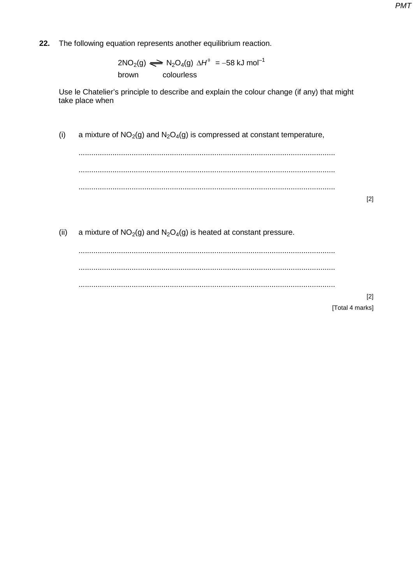$22.$ The following equation represents another equilibrium reaction.

> $2NO_2(g) \implies N_2O_4(g) \Delta H^{\theta} = -58 \text{ kJ mol}^{-1}$ brown colourless

Use le Chatelier's principle to describe and explain the colour change (if any) that might take place when

a mixture of  $NO<sub>2</sub>(g)$  and  $N<sub>2</sub>O<sub>4</sub>(g)$  is compressed at constant temperature,  $(i)$ 

 $[2]$ 

(ii) a mixture of  $NO<sub>2</sub>(g)$  and  $N<sub>2</sub>O<sub>4</sub>(g)$  is heated at constant pressure.

 $[2]$ [Total 4 marks]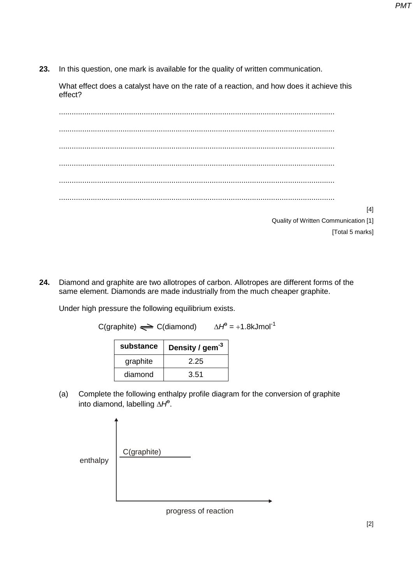**23.** In this question, one mark is available for the quality of written communication.

What effect does a catalyst have on the rate of a reaction, and how does it achieve this effect?

.................................................................................................................................. .................................................................................................................................. .................................................................................................................................. .................................................................................................................................. .................................................................................................................................. .................................................................................................................................. [4] Quality of Written Communication [1]

[Total 5 marks]

**24.** Diamond and graphite are two allotropes of carbon. Allotropes are different forms of the same element. Diamonds are made industrially from the much cheaper graphite.

Under high pressure the following equilibrium exists.

C(graphite) C(diamond) ∆*H*<sup>ө</sup> = +1.8kJmol-1

| substance | Density / $g$ em <sup>-3</sup> |
|-----------|--------------------------------|
| graphite  | 2.25                           |
| diamond   | 3.51                           |

(a) Complete the following enthalpy profile diagram for the conversion of graphite into diamond, labelling ∆*H*<sup>ө</sup> .

| enthalpy | C(graphite) |  |
|----------|-------------|--|
|----------|-------------|--|

progress of reaction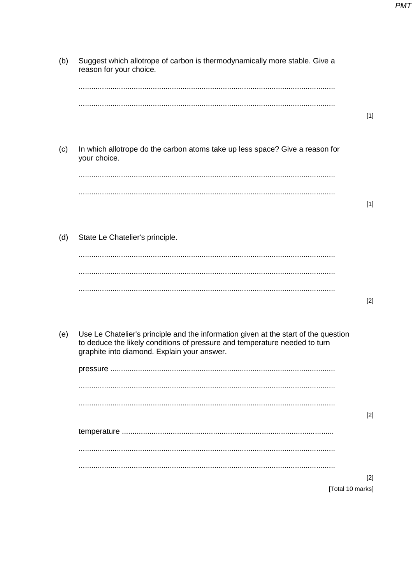| (b) | Suggest which allotrope of carbon is thermodynamically more stable. Give a<br>reason for your choice.                                                                                                            |                           |
|-----|------------------------------------------------------------------------------------------------------------------------------------------------------------------------------------------------------------------|---------------------------|
|     |                                                                                                                                                                                                                  | $[1]$                     |
| (c) | In which allotrope do the carbon atoms take up less space? Give a reason for<br>your choice.                                                                                                                     |                           |
|     |                                                                                                                                                                                                                  | $[1]$                     |
| (d) | State Le Chatelier's principle.                                                                                                                                                                                  |                           |
|     |                                                                                                                                                                                                                  |                           |
|     |                                                                                                                                                                                                                  | $[2]$                     |
| (e) | Use Le Chatelier's principle and the information given at the start of the question<br>to deduce the likely conditions of pressure and temperature needed to turn<br>graphite into diamond. Explain your answer. |                           |
|     |                                                                                                                                                                                                                  |                           |
|     |                                                                                                                                                                                                                  |                           |
|     |                                                                                                                                                                                                                  | $[2]$                     |
|     |                                                                                                                                                                                                                  |                           |
|     |                                                                                                                                                                                                                  |                           |
|     |                                                                                                                                                                                                                  |                           |
|     |                                                                                                                                                                                                                  | $[2]$<br>[Total 10 marks] |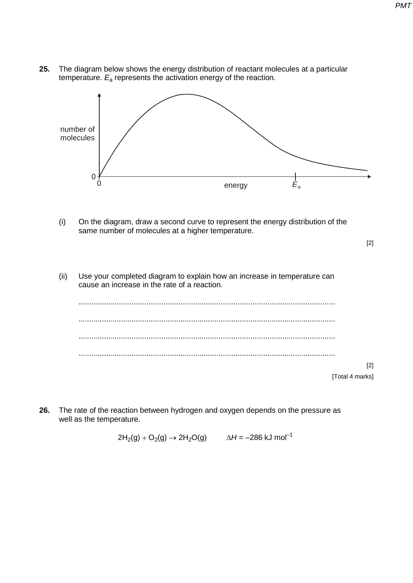**25.** The diagram below shows the energy distribution of reactant molecules at a particular temperature. *E*<sup>a</sup> represents the activation energy of the reaction.



(i) On the diagram, draw a second curve to represent the energy distribution of the same number of molecules at a higher temperature.

[2]

(ii) Use your completed diagram to explain how an increase in temperature can cause an increase in the rate of a reaction.



**26.** The rate of the reaction between hydrogen and oxygen depends on the pressure as well as the temperature.

2H<sub>2</sub>(g) + O<sub>2</sub>(g) → 2H<sub>2</sub>O(g)  $\Delta H = -286$  kJ mol<sup>-1</sup>